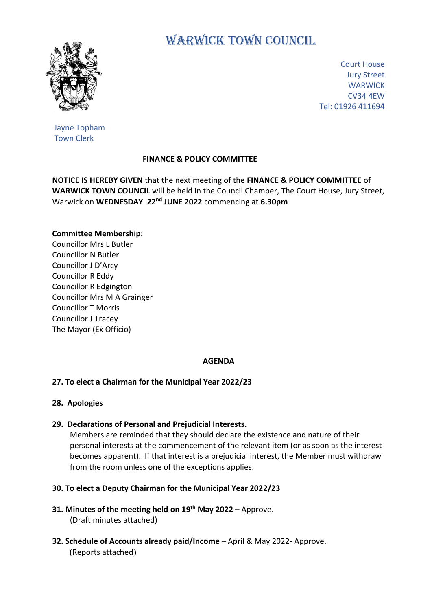

# WARWICK TOWN COUNCIL

Court House Jury Street **WARWICK** CV34 4EW Tel: 01926 411694

Jayne Topham Town Clerk

## **FINANCE & POLICY COMMITTEE**

**NOTICE IS HEREBY GIVEN** that the next meeting of the **FINANCE & POLICY COMMITTEE** of **WARWICK TOWN COUNCIL** will be held in the Council Chamber, The Court House, Jury Street, Warwick on **WEDNESDAY 22nd JUNE 2022** commencing at **6.30pm**

## **Committee Membership:**

Councillor Mrs L Butler Councillor N Butler Councillor J D'Arcy Councillor R Eddy Councillor R Edgington Councillor Mrs M A Grainger Councillor T Morris Councillor J Tracey The Mayor (Ex Officio)

## **AGENDA**

## **27. To elect a Chairman for the Municipal Year 2022/23**

## **28. Apologies**

## **29. Declarations of Personal and Prejudicial Interests.**

 Members are reminded that they should declare the existence and nature of their personal interests at the commencement of the relevant item (or as soon as the interest becomes apparent). If that interest is a prejudicial interest, the Member must withdraw from the room unless one of the exceptions applies.

## **30. To elect a Deputy Chairman for the Municipal Year 2022/23**

- **31. Minutes of the meeting held on 19th May 2022** Approve. (Draft minutes attached)
- **32. Schedule of Accounts already paid/Income** April & May 2022- Approve. (Reports attached)